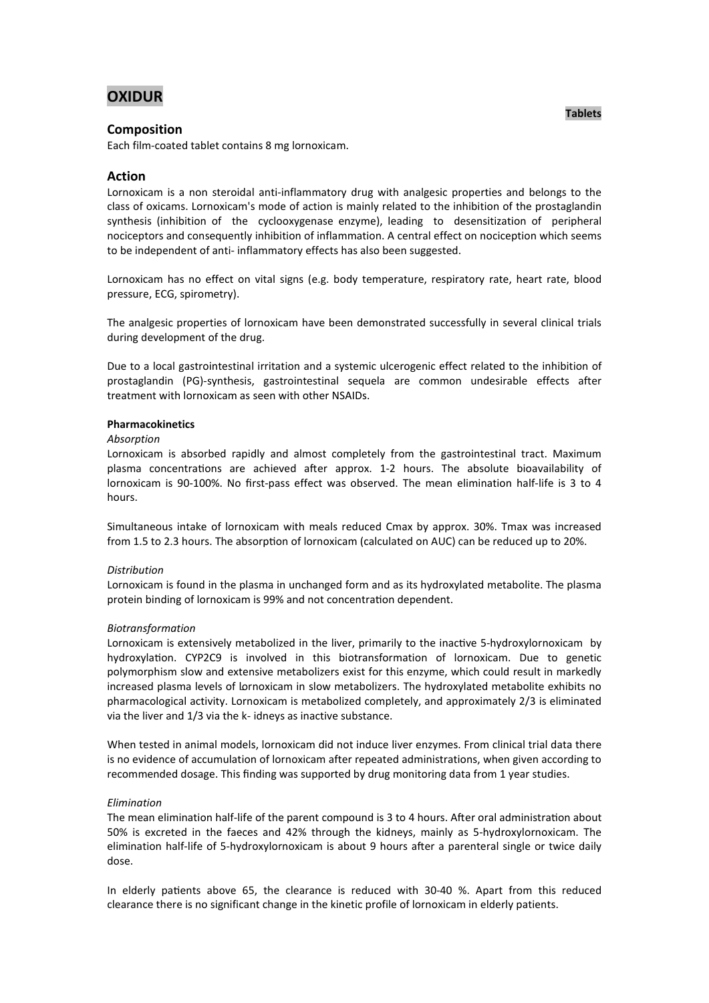# **OXIDUR**

# **Composition**

Each film-coated tablet contains 8 mg lornoxicam.

# **Action**

Lornoxicam is a non steroidal anti-inflammatory drug with analgesic properties and belongs to the class of oxicams. Lornoxicam's mode of action is mainly related to the inhibition of the prostaglandin synthesis (inhibition of the cyclooxygenase enzyme), leading to desensitization of peripheral nociceptors and consequently inhibition of inflammation. A central effect on nociception which seems to be independent of anti- inflammatory effects has also been suggested.

Lornoxicam has no effect on vital signs (e.g. body temperature, respiratory rate, heart rate, blood pressure, ECG, spirometry).

The analgesic properties of lornoxicam have been demonstrated successfully in several clinical trials during development of the drug.

Due to a local gastrointestinal irritation and a systemic ulcerogenic effect related to the inhibition of prostaglandin (PG)-synthesis, gastrointestinal sequela are common undesirable effects after treatment with lornoxicam as seen with other NSAIDs.

#### **Pharmacokinetics**

#### *Absorption*

Lornoxicam is absorbed rapidly and almost completely from the gastrointestinal tract. Maximum plasma concentrations are achieved after approx. 1-2 hours. The absolute bioavailability of lornoxicam is 90-100%. No first-pass effect was observed. The mean elimination half-life is 3 to 4 hours.

Simultaneous intake of lornoxicam with meals reduced Cmax by approx. 30%. Tmax was increased from 1.5 to 2.3 hours. The absorption of lornoxicam (calculated on AUC) can be reduced up to 20%.

#### *Distribution*

Lornoxicam is found in the plasma in unchanged form and as its hydroxylated metabolite. The plasma protein binding of lornoxicam is 99% and not concentration dependent.

#### *Biotransformation*

Lornoxicam is extensively metabolized in the liver, primarily to the inactive 5-hydroxylornoxicam by hydroxylation. CYP2C9 is involved in this biotransformation of lornoxicam. Due to genetic polymorphism slow and extensive metabolizers exist for this enzyme, which could result in markedly increased plasma levels of lornoxicam in slow metabolizers. The hydroxylated metabolite exhibits no pharmacological activity. Lornoxicam is metabolized completely, and approximately 2/3 is eliminated via the liver and 1/3 via the k- idneys as inactive substance.

When tested in animal models, lornoxicam did not induce liver enzymes. From clinical trial data there is no evidence of accumulation of lornoxicam after repeated administrations, when given according to recommended dosage. This finding was supported by drug monitoring data from 1 year studies.

### *Elimination*

The mean elimination half-life of the parent compound is 3 to 4 hours. After oral administration about 50% is excreted in the faeces and 42% through the kidneys, mainly as 5-hydroxylornoxicam. The elimination half-life of 5-hydroxylornoxicam is about 9 hours after a parenteral single or twice daily dose.

In elderly patients above 65, the clearance is reduced with 30-40 %. Apart from this reduced clearance there is no significant change in the kinetic profile of lornoxicam in elderly patients.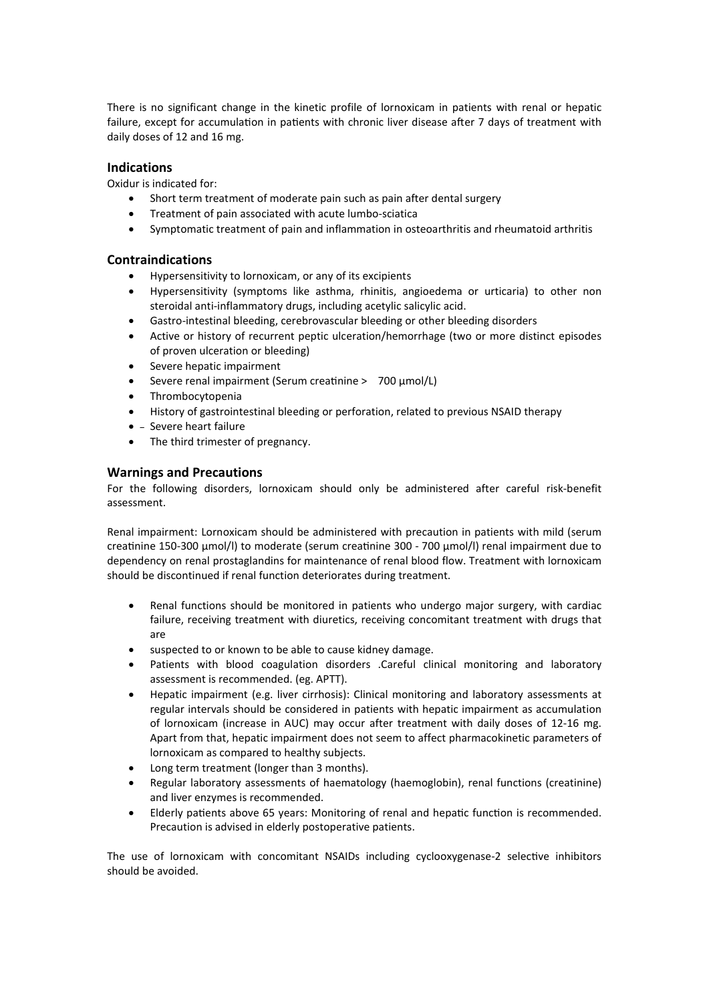There is no significant change in the kinetic profile of lornoxicam in patients with renal or hepatic failure, except for accumulation in patients with chronic liver disease after 7 days of treatment with daily doses of 12 and 16 mg.

# **Indications**

Oxidur is indicated for:

- Short term treatment of moderate pain such as pain after dental surgery
- Treatment of pain associated with acute lumbo-sciatica
- Symptomatic treatment of pain and inflammation in osteoarthritis and rheumatoid arthritis

# **Contraindications**

- Hypersensitivity to lornoxicam, or any of its excipients
- Hypersensitivity (symptoms like asthma, rhinitis, angioedema or urticaria) to other non steroidal anti-inflammatory drugs, including acetylic salicylic acid.
- Gastro-intestinal bleeding, cerebrovascular bleeding or other bleeding disorders
- Active or history of recurrent peptic ulceration/hemorrhage (two or more distinct episodes of proven ulceration or bleeding)
- Severe hepatic impairment
- Severe renal impairment (Serum creatinine > 700 µmol/L)
- Thrombocytopenia
- History of gastrointestinal bleeding or perforation, related to previous NSAID therapy
- $\bullet$  Severe heart failure
- The third trimester of pregnancy.

# **Warnings and Precautions**

For the following disorders, lornoxicam should only be administered after careful risk-benefit assessment.

Renal impairment: Lornoxicam should be administered with precaution in patients with mild (serum creatinine 150-300 µmol/l) to moderate (serum creatinine 300 - 700 µmol/l) renal impairment due to dependency on renal prostaglandins for maintenance of renal blood flow. Treatment with lornoxicam should be discontinued if renal function deteriorates during treatment.

- Renal functions should be monitored in patients who undergo major surgery, with cardiac failure, receiving treatment with diuretics, receiving concomitant treatment with drugs that are
- suspected to or known to be able to cause kidney damage.
- Patients with blood coagulation disorders .Careful clinical monitoring and laboratory assessment is recommended. (eg. APTT).
- Hepatic impairment (e.g. liver cirrhosis): Clinical monitoring and laboratory assessments at regular intervals should be considered in patients with hepatic impairment as accumulation of lornoxicam (increase in AUC) may occur after treatment with daily doses of 12-16 mg. Apart from that, hepatic impairment does not seem to affect pharmacokinetic parameters of lornoxicam as compared to healthy subjects.
- Long term treatment (longer than 3 months).
- Regular laboratory assessments of haematology (haemoglobin), renal functions (creatinine) and liver enzymes is recommended.
- Elderly patients above 65 years: Monitoring of renal and hepatic function is recommended. Precaution is advised in elderly postoperative patients.

The use of lornoxicam with concomitant NSAIDs including cyclooxygenase-2 selective inhibitors should be avoided.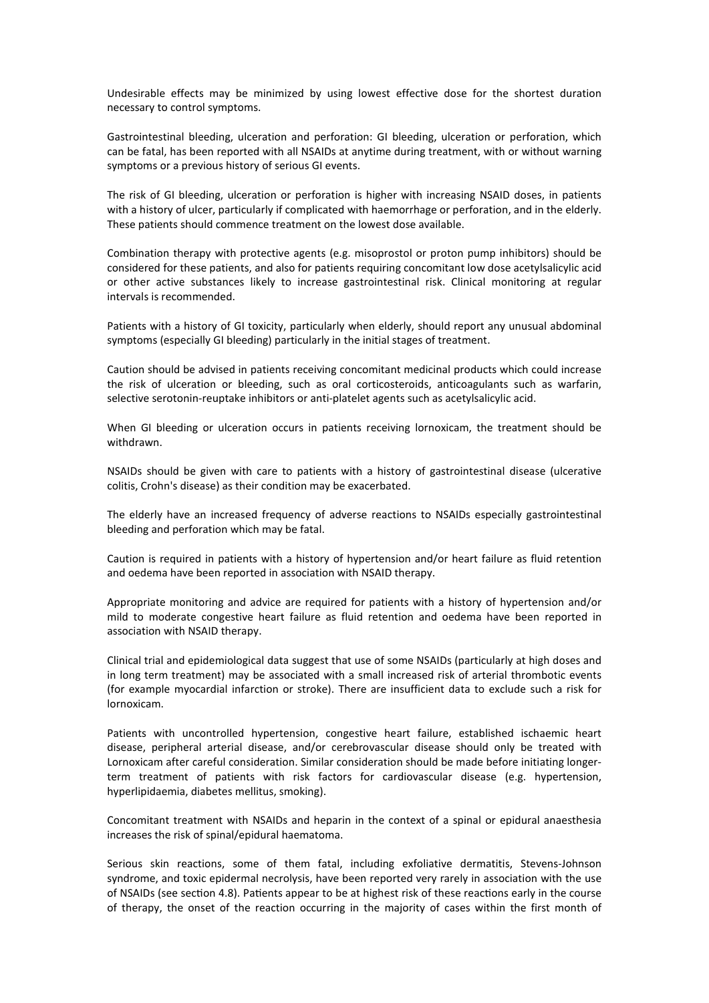Undesirable effects may be minimized by using lowest effective dose for the shortest duration necessary to control symptoms.

Gastrointestinal bleeding, ulceration and perforation: GI bleeding, ulceration or perforation, which can be fatal, has been reported with all NSAIDs at anytime during treatment, with or without warning symptoms or a previous history of serious GI events.

The risk of GI bleeding, ulceration or perforation is higher with increasing NSAID doses, in patients with a history of ulcer, particularly if complicated with haemorrhage or perforation, and in the elderly. These patients should commence treatment on the lowest dose available.

Combination therapy with protective agents (e.g. misoprostol or proton pump inhibitors) should be considered for these patients, and also for patients requiring concomitant low dose acetylsalicylic acid or other active substances likely to increase gastrointestinal risk. Clinical monitoring at regular intervals is recommended.

Patients with a history of GI toxicity, particularly when elderly, should report any unusual abdominal symptoms (especially GI bleeding) particularly in the initial stages of treatment.

Caution should be advised in patients receiving concomitant medicinal products which could increase the risk of ulceration or bleeding, such as oral corticosteroids, anticoagulants such as warfarin, selective serotonin-reuptake inhibitors or anti-platelet agents such as acetylsalicylic acid.

When GI bleeding or ulceration occurs in patients receiving lornoxicam, the treatment should be withdrawn.

NSAIDs should be given with care to patients with a history of gastrointestinal disease (ulcerative colitis, Crohn's disease) as their condition may be exacerbated.

The elderly have an increased frequency of adverse reactions to NSAIDs especially gastrointestinal bleeding and perforation which may be fatal.

Caution is required in patients with a history of hypertension and/or heart failure as fluid retention and oedema have been reported in association with NSAID therapy.

Appropriate monitoring and advice are required for patients with a history of hypertension and/or mild to moderate congestive heart failure as fluid retention and oedema have been reported in association with NSAID therapy.

Clinical trial and epidemiological data suggest that use of some NSAIDs (particularly at high doses and in long term treatment) may be associated with a small increased risk of arterial thrombotic events (for example myocardial infarction or stroke). There are insufficient data to exclude such a risk for lornoxicam.

Patients with uncontrolled hypertension, congestive heart failure, established ischaemic heart disease, peripheral arterial disease, and/or cerebrovascular disease should only be treated with Lornoxicam after careful consideration. Similar consideration should be made before initiating longerterm treatment of patients with risk factors for cardiovascular disease (e.g. hypertension, hyperlipidaemia, diabetes mellitus, smoking).

Concomitant treatment with NSAIDs and heparin in the context of a spinal or epidural anaesthesia increases the risk of spinal/epidural haematoma.

Serious skin reactions, some of them fatal, including exfoliative dermatitis, Stevens-Johnson syndrome, and toxic epidermal necrolysis, have been reported very rarely in association with the use of NSAIDs (see section 4.8). Patients appear to be at highest risk of these reactions early in the course of therapy, the onset of the reaction occurring in the majority of cases within the first month of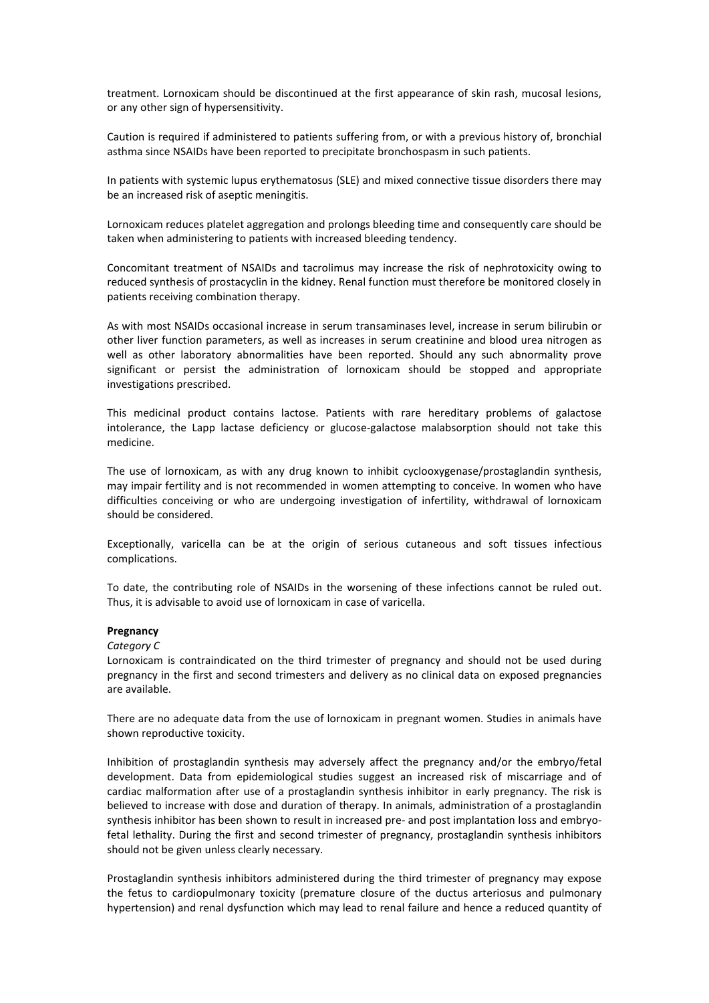treatment. Lornoxicam should be discontinued at the first appearance of skin rash, mucosal lesions, or any other sign of hypersensitivity.

Caution is required if administered to patients suffering from, or with a previous history of, bronchial asthma since NSAIDs have been reported to precipitate bronchospasm in such patients.

In patients with systemic lupus erythematosus (SLE) and mixed connective tissue disorders there may be an increased risk of aseptic meningitis.

Lornoxicam reduces platelet aggregation and prolongs bleeding time and consequently care should be taken when administering to patients with increased bleeding tendency.

Concomitant treatment of NSAIDs and tacrolimus may increase the risk of nephrotoxicity owing to reduced synthesis of prostacyclin in the kidney. Renal function must therefore be monitored closely in patients receiving combination therapy.

As with most NSAIDs occasional increase in serum transaminases level, increase in serum bilirubin or other liver function parameters, as well as increases in serum creatinine and blood urea nitrogen as well as other laboratory abnormalities have been reported. Should any such abnormality prove significant or persist the administration of lornoxicam should be stopped and appropriate investigations prescribed.

This medicinal product contains lactose. Patients with rare hereditary problems of galactose intolerance, the Lapp lactase deficiency or glucose-galactose malabsorption should not take this medicine.

The use of lornoxicam, as with any drug known to inhibit cyclooxygenase/prostaglandin synthesis, may impair fertility and is not recommended in women attempting to conceive. In women who have difficulties conceiving or who are undergoing investigation of infertility, withdrawal of lornoxicam should be considered.

Exceptionally, varicella can be at the origin of serious cutaneous and soft tissues infectious complications.

To date, the contributing role of NSAIDs in the worsening of these infections cannot be ruled out. Thus, it is advisable to avoid use of lornoxicam in case of varicella.

### **Pregnancy**

### *Category C*

Lornoxicam is contraindicated on the third trimester of pregnancy and should not be used during pregnancy in the first and second trimesters and delivery as no clinical data on exposed pregnancies are available.

There are no adequate data from the use of lornoxicam in pregnant women. Studies in animals have shown reproductive toxicity.

Inhibition of prostaglandin synthesis may adversely affect the pregnancy and/or the embryo/fetal development. Data from epidemiological studies suggest an increased risk of miscarriage and of cardiac malformation after use of a prostaglandin synthesis inhibitor in early pregnancy. The risk is believed to increase with dose and duration of therapy. In animals, administration of a prostaglandin synthesis inhibitor has been shown to result in increased pre- and post implantation loss and embryofetal lethality. During the first and second trimester of pregnancy, prostaglandin synthesis inhibitors should not be given unless clearly necessary.

Prostaglandin synthesis inhibitors administered during the third trimester of pregnancy may expose the fetus to cardiopulmonary toxicity (premature closure of the ductus arteriosus and pulmonary hypertension) and renal dysfunction which may lead to renal failure and hence a reduced quantity of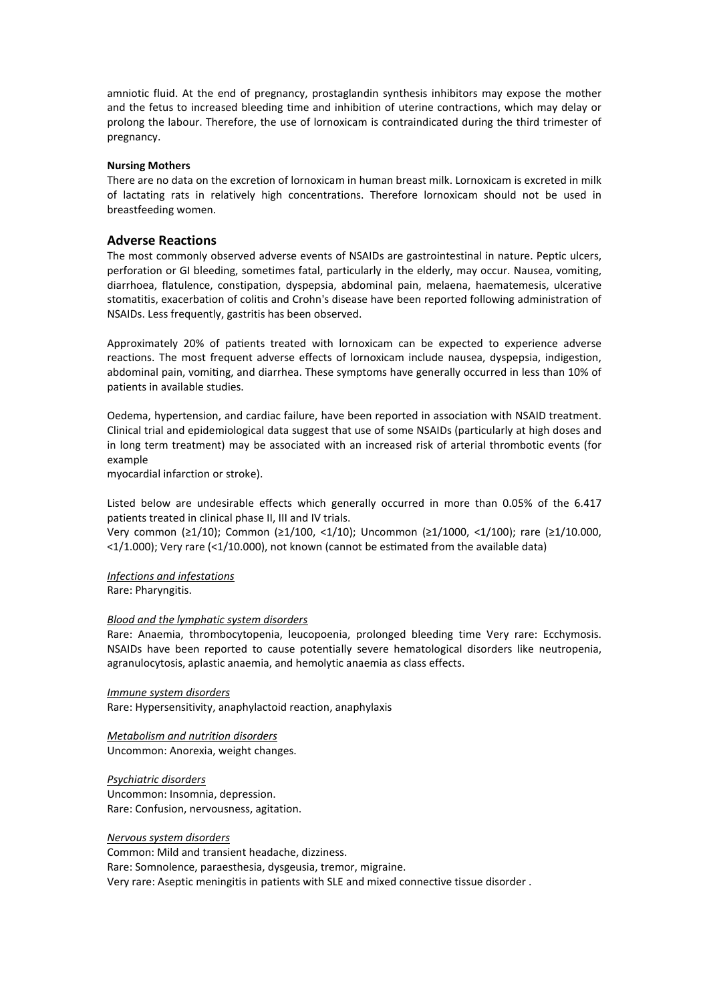amniotic fluid. At the end of pregnancy, prostaglandin synthesis inhibitors may expose the mother and the fetus to increased bleeding time and inhibition of uterine contractions, which may delay or prolong the labour. Therefore, the use of lornoxicam is contraindicated during the third trimester of pregnancy.

#### **Nursing Mothers**

There are no data on the excretion of lornoxicam in human breast milk. Lornoxicam is excreted in milk of lactating rats in relatively high concentrations. Therefore lornoxicam should not be used in breastfeeding women.

### **Adverse Reactions**

The most commonly observed adverse events of NSAIDs are gastrointestinal in nature. Peptic ulcers, perforation or GI bleeding, sometimes fatal, particularly in the elderly, may occur. Nausea, vomiting, diarrhoea, flatulence, constipation, dyspepsia, abdominal pain, melaena, haematemesis, ulcerative stomatitis, exacerbation of colitis and Crohn's disease have been reported following administration of NSAIDs. Less frequently, gastritis has been observed.

Approximately 20% of patients treated with lornoxicam can be expected to experience adverse reactions. The most frequent adverse effects of lornoxicam include nausea, dyspepsia, indigestion, abdominal pain, vomiting, and diarrhea. These symptoms have generally occurred in less than 10% of patients in available studies.

Oedema, hypertension, and cardiac failure, have been reported in association with NSAID treatment. Clinical trial and epidemiological data suggest that use of some NSAIDs (particularly at high doses and in long term treatment) may be associated with an increased risk of arterial thrombotic events (for example

myocardial infarction or stroke).

Listed below are undesirable effects which generally occurred in more than 0.05% of the 6.417 patients treated in clinical phase II, III and IV trials.

Very common (≥1/10); Common (≥1/100, <1/10); Uncommon (≥1/1000, <1/100); rare (≥1/10.000,  $\langle 1/1.000$ ); Very rare (<1/10.000), not known (cannot be estimated from the available data)

*Infections and infestations* Rare: Pharyngitis.

#### *Blood and the lymphatic system disorders*

Rare: Anaemia, thrombocytopenia, leucopoenia, prolonged bleeding time Very rare: Ecchymosis. NSAIDs have been reported to cause potentially severe hematological disorders like neutropenia, agranulocytosis, aplastic anaemia, and hemolytic anaemia as class effects.

*Immune system disorders* Rare: Hypersensitivity, anaphylactoid reaction, anaphylaxis

*Metabolism and nutrition disorders* Uncommon: Anorexia, weight changes.

*Psychiatric disorders* Uncommon: Insomnia, depression. Rare: Confusion, nervousness, agitation.

*Nervous system disorders* Common: Mild and transient headache, dizziness. Rare: Somnolence, paraesthesia, dysgeusia, tremor, migraine. Very rare: Aseptic meningitis in patients with SLE and mixed connective tissue disorder .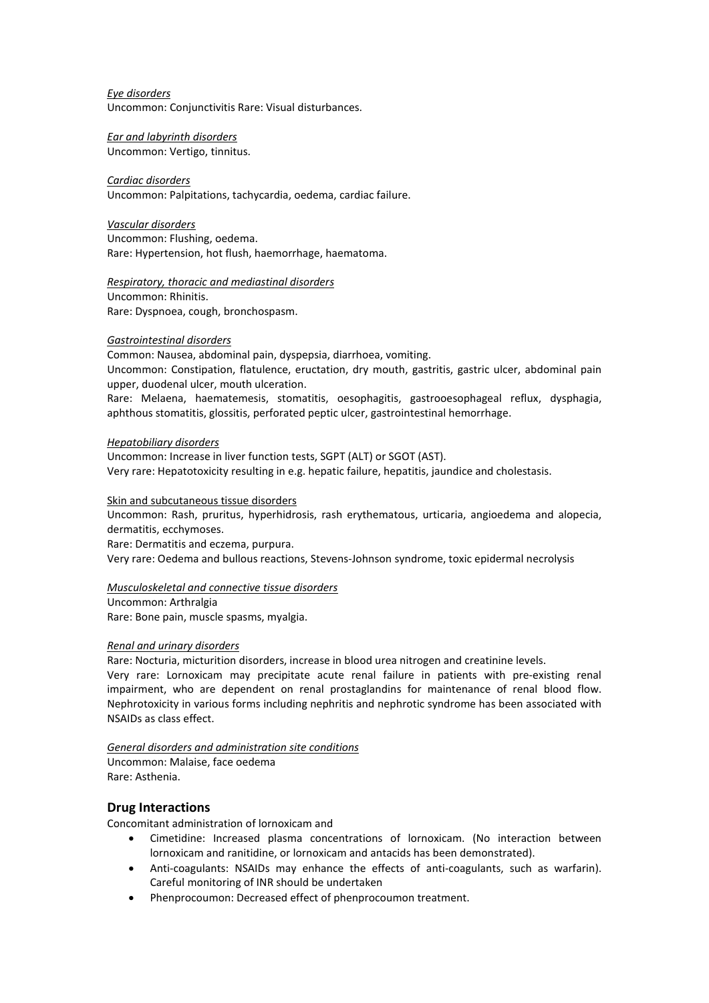*Eye disorders* Uncommon: Conjunctivitis Rare: Visual disturbances.

*Ear and labyrinth disorders* Uncommon: Vertigo, tinnitus.

# *Cardiac disorders*

Uncommon: Palpitations, tachycardia, oedema, cardiac failure.

*Vascular disorders* Uncommon: Flushing, oedema. Rare: Hypertension, hot flush, haemorrhage, haematoma.

*Respiratory, thoracic and mediastinal disorders* Uncommon: Rhinitis. Rare: Dyspnoea, cough, bronchospasm.

# *Gastrointestinal disorders*

Common: Nausea, abdominal pain, dyspepsia, diarrhoea, vomiting. Uncommon: Constipation, flatulence, eructation, dry mouth, gastritis, gastric ulcer, abdominal pain upper, duodenal ulcer, mouth ulceration.

Rare: Melaena, haematemesis, stomatitis, oesophagitis, gastrooesophageal reflux, dysphagia, aphthous stomatitis, glossitis, perforated peptic ulcer, gastrointestinal hemorrhage.

## *Hepatobiliary disorders*

Uncommon: Increase in liver function tests, SGPT (ALT) or SGOT (AST). Very rare: Hepatotoxicity resulting in e.g. hepatic failure, hepatitis, jaundice and cholestasis.

# Skin and subcutaneous tissue disorders

Uncommon: Rash, pruritus, hyperhidrosis, rash erythematous, urticaria, angioedema and alopecia, dermatitis, ecchymoses.

Rare: Dermatitis and eczema, purpura.

Very rare: Oedema and bullous reactions, Stevens-Johnson syndrome, toxic epidermal necrolysis

# *Musculoskeletal and connective tissue disorders*

Uncommon: Arthralgia Rare: Bone pain, muscle spasms, myalgia.

## *Renal and urinary disorders*

Rare: Nocturia, micturition disorders, increase in blood urea nitrogen and creatinine levels. Very rare: Lornoxicam may precipitate acute renal failure in patients with pre-existing renal impairment, who are dependent on renal prostaglandins for maintenance of renal blood flow.

Nephrotoxicity in various forms including nephritis and nephrotic syndrome has been associated with NSAIDs as class effect.

## *General disorders and administration site conditions*

Uncommon: Malaise, face oedema Rare: Asthenia.

# **Drug Interactions**

Concomitant administration of lornoxicam and

- Cimetidine: Increased plasma concentrations of lornoxicam. (No interaction between lornoxicam and ranitidine, or lornoxicam and antacids has been demonstrated).
- Anti-coagulants: NSAIDs may enhance the effects of anti-coagulants, such as warfarin). Careful monitoring of INR should be undertaken
- Phenprocoumon: Decreased effect of phenprocoumon treatment.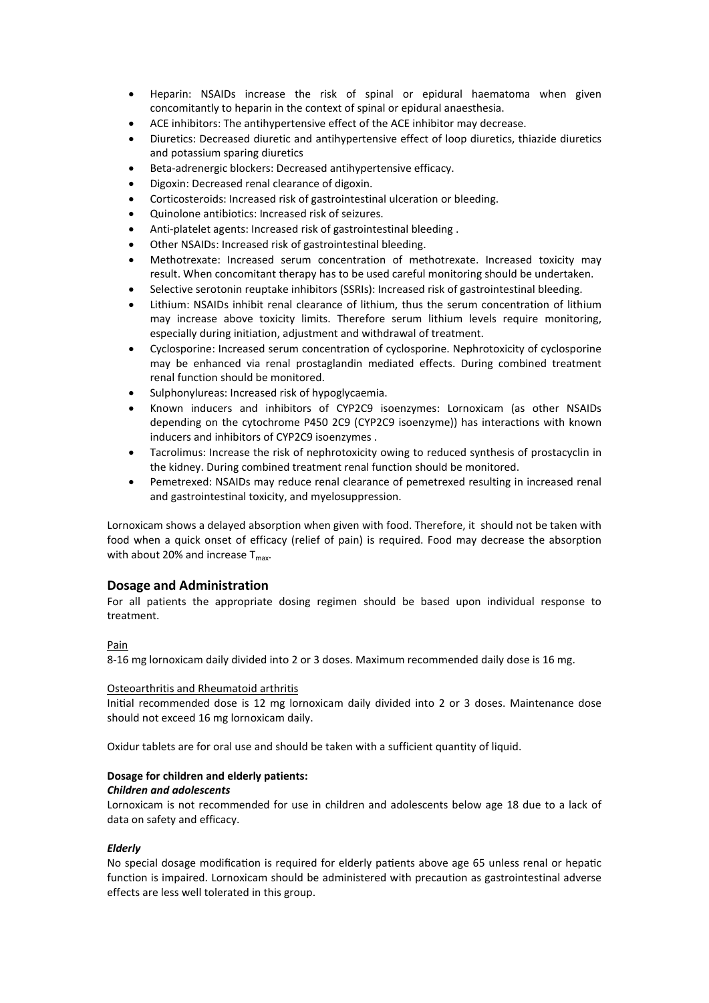- Heparin: NSAIDs increase the risk of spinal or epidural haematoma when given concomitantly to heparin in the context of spinal or epidural anaesthesia.
- ACE inhibitors: The antihypertensive effect of the ACE inhibitor may decrease.
- Diuretics: Decreased diuretic and antihypertensive effect of loop diuretics, thiazide diuretics and potassium sparing diuretics
- Beta-adrenergic blockers: Decreased antihypertensive efficacy.
- Digoxin: Decreased renal clearance of digoxin.
- Corticosteroids: Increased risk of gastrointestinal ulceration or bleeding.
- Quinolone antibiotics: Increased risk of seizures.
- Anti-platelet agents: Increased risk of gastrointestinal bleeding .
- Other NSAIDs: Increased risk of gastrointestinal bleeding.
- Methotrexate: Increased serum concentration of methotrexate. Increased toxicity may result. When concomitant therapy has to be used careful monitoring should be undertaken.
- Selective serotonin reuptake inhibitors (SSRIs): Increased risk of gastrointestinal bleeding.
- Lithium: NSAIDs inhibit renal clearance of lithium, thus the serum concentration of lithium may increase above toxicity limits. Therefore serum lithium levels require monitoring, especially during initiation, adjustment and withdrawal of treatment.
- Cyclosporine: Increased serum concentration of cyclosporine. Nephrotoxicity of cyclosporine may be enhanced via renal prostaglandin mediated effects. During combined treatment renal function should be monitored.
- Sulphonylureas: Increased risk of hypoglycaemia.
- Known inducers and inhibitors of CYP2C9 isoenzymes: Lornoxicam (as other NSAIDs depending on the cytochrome P450 2C9 (CYP2C9 isoenzyme)) has interactions with known inducers and inhibitors of CYP2C9 isoenzymes .
- Tacrolimus: Increase the risk of nephrotoxicity owing to reduced synthesis of prostacyclin in the kidney. During combined treatment renal function should be monitored.
- Pemetrexed: NSAIDs may reduce renal clearance of pemetrexed resulting in increased renal and gastrointestinal toxicity, and myelosuppression.

Lornoxicam shows a delayed absorption when given with food. Therefore, it should not be taken with food when a quick onset of efficacy (relief of pain) is required. Food may decrease the absorption with about 20% and increase  $T_{\text{max}}$ .

# **Dosage and Administration**

For all patients the appropriate dosing regimen should be based upon individual response to treatment.

## Pain

8-16 mg lornoxicam daily divided into 2 or 3 doses. Maximum recommended daily dose is 16 mg.

## Osteoarthritis and Rheumatoid arthritis

Initial recommended dose is 12 mg lornoxicam daily divided into 2 or 3 doses. Maintenance dose should not exceed 16 mg lornoxicam daily.

Oxidur tablets are for oral use and should be taken with a sufficient quantity of liquid.

## **Dosage for children and elderly patients:**

## *Children and adolescents*

Lornoxicam is not recommended for use in children and adolescents below age 18 due to a lack of data on safety and efficacy.

## *Elderly*

No special dosage modification is required for elderly patients above age 65 unless renal or hepatic function is impaired. Lornoxicam should be administered with precaution as gastrointestinal adverse effects are less well tolerated in this group.